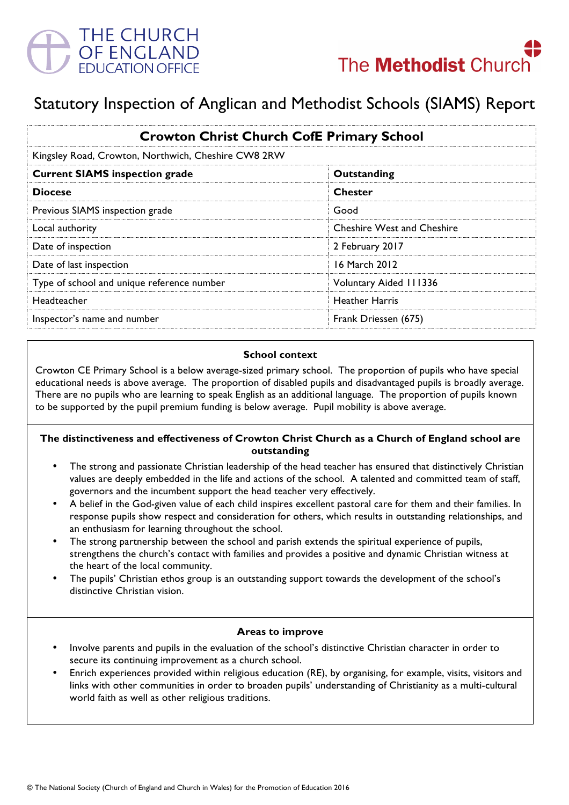

# Statutory Inspection of Anglican and Methodist Schools (SIAMS) Report

| <b>Crowton Christ Church CofE Primary School</b><br>Kingsley Road, Crowton, Northwich, Cheshire CW8 2RW |                                   |
|---------------------------------------------------------------------------------------------------------|-----------------------------------|
|                                                                                                         |                                   |
| <b>Diocese</b>                                                                                          | <b>Chester</b>                    |
| Previous SIAMS inspection grade                                                                         | Good                              |
| Local authority                                                                                         | <b>Cheshire West and Cheshire</b> |
| Date of inspection                                                                                      | 2 February 2017                   |
| Date of last inspection                                                                                 | 16 March 2012                     |
| Type of school and unique reference number                                                              | Voluntary Aided 111336            |
| Headteacher                                                                                             | <b>Heather Harris</b>             |
| Inspector's name and number                                                                             | Frank Driessen (675)              |

#### **School context**

Crowton CE Primary School is a below average-sized primary school. The proportion of pupils who have special educational needs is above average. The proportion of disabled pupils and disadvantaged pupils is broadly average. There are no pupils who are learning to speak English as an additional language. The proportion of pupils known to be supported by the pupil premium funding is below average. Pupil mobility is above average.

#### **The distinctiveness and effectiveness of Crowton Christ Church as a Church of England school are outstanding**

- The strong and passionate Christian leadership of the head teacher has ensured that distinctively Christian values are deeply embedded in the life and actions of the school. A talented and committed team of staff, governors and the incumbent support the head teacher very effectively.
- A belief in the God-given value of each child inspires excellent pastoral care for them and their families. In response pupils show respect and consideration for others, which results in outstanding relationships, and an enthusiasm for learning throughout the school.
- The strong partnership between the school and parish extends the spiritual experience of pupils, strengthens the church's contact with families and provides a positive and dynamic Christian witness at the heart of the local community.
- The pupils' Christian ethos group is an outstanding support towards the development of the school's distinctive Christian vision.

#### **Areas to improve**

- Involve parents and pupils in the evaluation of the school's distinctive Christian character in order to secure its continuing improvement as a church school.
- Enrich experiences provided within religious education (RE), by organising, for example, visits, visitors and links with other communities in order to broaden pupils' understanding of Christianity as a multi-cultural world faith as well as other religious traditions.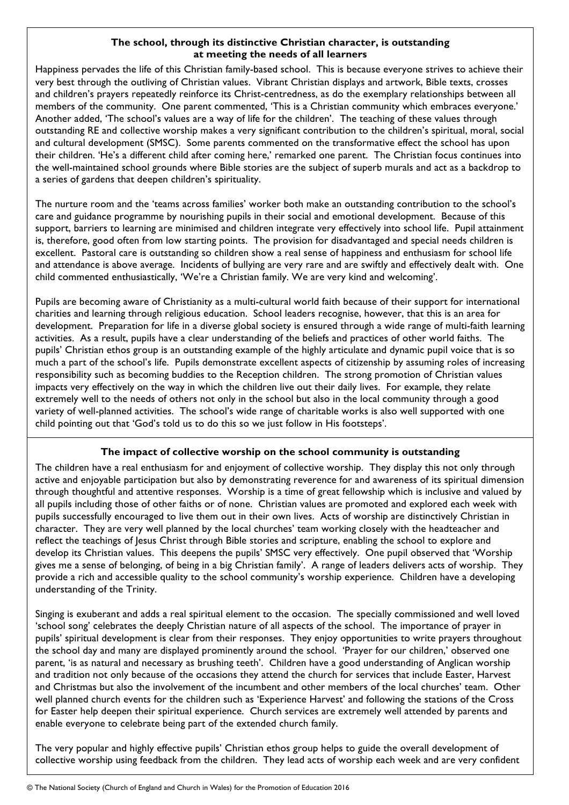# **The school, through its distinctive Christian character, is outstanding at meeting the needs of all learners**

Happiness pervades the life of this Christian family-based school. This is because everyone strives to achieve their very best through the outliving of Christian values. Vibrant Christian displays and artwork, Bible texts, crosses and children's prayers repeatedly reinforce its Christ-centredness, as do the exemplary relationships between all members of the community. One parent commented, 'This is a Christian community which embraces everyone.' Another added, 'The school's values are a way of life for the children'. The teaching of these values through outstanding RE and collective worship makes a very significant contribution to the children's spiritual, moral, social and cultural development (SMSC). Some parents commented on the transformative effect the school has upon their children. 'He's a different child after coming here,' remarked one parent. The Christian focus continues into the well-maintained school grounds where Bible stories are the subject of superb murals and act as a backdrop to a series of gardens that deepen children's spirituality.

The nurture room and the 'teams across families' worker both make an outstanding contribution to the school's care and guidance programme by nourishing pupils in their social and emotional development. Because of this support, barriers to learning are minimised and children integrate very effectively into school life. Pupil attainment is, therefore, good often from low starting points. The provision for disadvantaged and special needs children is excellent. Pastoral care is outstanding so children show a real sense of happiness and enthusiasm for school life and attendance is above average. Incidents of bullying are very rare and are swiftly and effectively dealt with. One child commented enthusiastically, 'We're a Christian family. We are very kind and welcoming'.

Pupils are becoming aware of Christianity as a multi-cultural world faith because of their support for international charities and learning through religious education. School leaders recognise, however, that this is an area for development. Preparation for life in a diverse global society is ensured through a wide range of multi-faith learning activities. As a result, pupils have a clear understanding of the beliefs and practices of other world faiths. The pupils' Christian ethos group is an outstanding example of the highly articulate and dynamic pupil voice that is so much a part of the school's life. Pupils demonstrate excellent aspects of citizenship by assuming roles of increasing responsibility such as becoming buddies to the Reception children. The strong promotion of Christian values impacts very effectively on the way in which the children live out their daily lives. For example, they relate extremely well to the needs of others not only in the school but also in the local community through a good variety of well-planned activities. The school's wide range of charitable works is also well supported with one child pointing out that 'God's told us to do this so we just follow in His footsteps'.

# **The impact of collective worship on the school community is outstanding**

The children have a real enthusiasm for and enjoyment of collective worship. They display this not only through active and enjoyable participation but also by demonstrating reverence for and awareness of its spiritual dimension through thoughtful and attentive responses. Worship is a time of great fellowship which is inclusive and valued by all pupils including those of other faiths or of none. Christian values are promoted and explored each week with pupils successfully encouraged to live them out in their own lives. Acts of worship are distinctively Christian in character. They are very well planned by the local churches' team working closely with the headteacher and reflect the teachings of Jesus Christ through Bible stories and scripture, enabling the school to explore and develop its Christian values. This deepens the pupils' SMSC very effectively. One pupil observed that 'Worship gives me a sense of belonging, of being in a big Christian family'. A range of leaders delivers acts of worship. They provide a rich and accessible quality to the school community's worship experience. Children have a developing understanding of the Trinity.

Singing is exuberant and adds a real spiritual element to the occasion. The specially commissioned and well loved 'school song' celebrates the deeply Christian nature of all aspects of the school. The importance of prayer in pupils' spiritual development is clear from their responses. They enjoy opportunities to write prayers throughout the school day and many are displayed prominently around the school. 'Prayer for our children,' observed one parent, 'is as natural and necessary as brushing teeth'. Children have a good understanding of Anglican worship and tradition not only because of the occasions they attend the church for services that include Easter, Harvest and Christmas but also the involvement of the incumbent and other members of the local churches' team. Other well planned church events for the children such as 'Experience Harvest' and following the stations of the Cross for Easter help deepen their spiritual experience. Church services are extremely well attended by parents and enable everyone to celebrate being part of the extended church family.

The very popular and highly effective pupils' Christian ethos group helps to guide the overall development of collective worship using feedback from the children. They lead acts of worship each week and are very confident